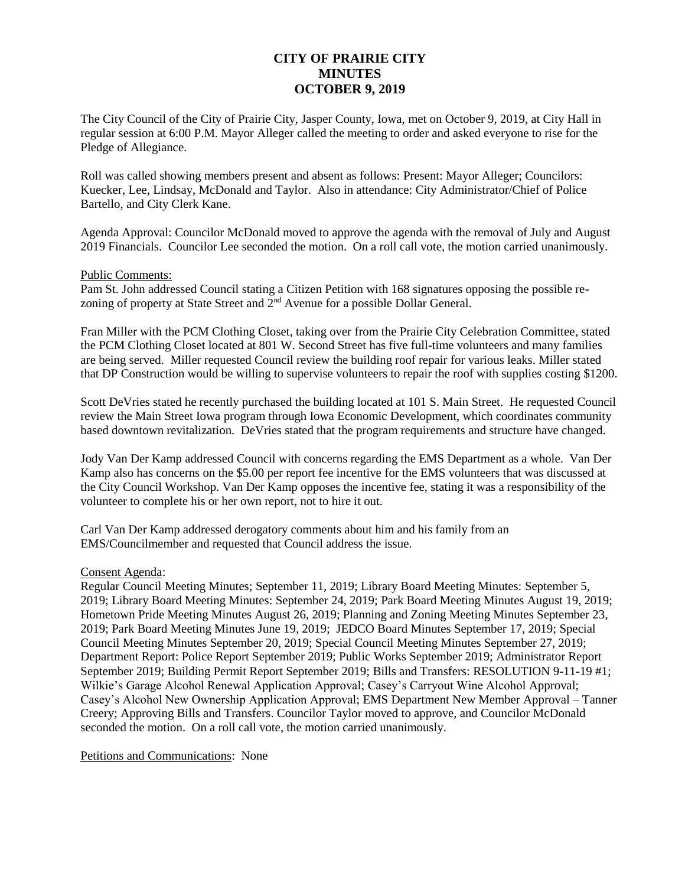# **CITY OF PRAIRIE CITY MINUTES OCTOBER 9, 2019**

The City Council of the City of Prairie City, Jasper County, Iowa, met on October 9, 2019, at City Hall in regular session at 6:00 P.M. Mayor Alleger called the meeting to order and asked everyone to rise for the Pledge of Allegiance.

Roll was called showing members present and absent as follows: Present: Mayor Alleger; Councilors: Kuecker, Lee, Lindsay, McDonald and Taylor. Also in attendance: City Administrator/Chief of Police Bartello, and City Clerk Kane.

Agenda Approval: Councilor McDonald moved to approve the agenda with the removal of July and August 2019 Financials. Councilor Lee seconded the motion. On a roll call vote, the motion carried unanimously.

#### Public Comments:

Pam St. John addressed Council stating a Citizen Petition with 168 signatures opposing the possible rezoning of property at State Street and  $2<sup>nd</sup>$  Avenue for a possible Dollar General.

Fran Miller with the PCM Clothing Closet, taking over from the Prairie City Celebration Committee, stated the PCM Clothing Closet located at 801 W. Second Street has five full-time volunteers and many families are being served. Miller requested Council review the building roof repair for various leaks. Miller stated that DP Construction would be willing to supervise volunteers to repair the roof with supplies costing \$1200.

Scott DeVries stated he recently purchased the building located at 101 S. Main Street. He requested Council review the Main Street Iowa program through Iowa Economic Development, which coordinates community based downtown revitalization. DeVries stated that the program requirements and structure have changed.

Jody Van Der Kamp addressed Council with concerns regarding the EMS Department as a whole. Van Der Kamp also has concerns on the \$5.00 per report fee incentive for the EMS volunteers that was discussed at the City Council Workshop. Van Der Kamp opposes the incentive fee, stating it was a responsibility of the volunteer to complete his or her own report, not to hire it out.

Carl Van Der Kamp addressed derogatory comments about him and his family from an EMS/Councilmember and requested that Council address the issue.

#### Consent Agenda:

Regular Council Meeting Minutes; September 11, 2019; Library Board Meeting Minutes: September 5, 2019; Library Board Meeting Minutes: September 24, 2019; Park Board Meeting Minutes August 19, 2019; Hometown Pride Meeting Minutes August 26, 2019; Planning and Zoning Meeting Minutes September 23, 2019; Park Board Meeting Minutes June 19, 2019; JEDCO Board Minutes September 17, 2019; Special Council Meeting Minutes September 20, 2019; Special Council Meeting Minutes September 27, 2019; Department Report: Police Report September 2019; Public Works September 2019; Administrator Report September 2019; Building Permit Report September 2019; Bills and Transfers: RESOLUTION 9-11-19 #1; Wilkie's Garage Alcohol Renewal Application Approval; Casey's Carryout Wine Alcohol Approval; Casey's Alcohol New Ownership Application Approval; EMS Department New Member Approval – Tanner Creery; Approving Bills and Transfers. Councilor Taylor moved to approve, and Councilor McDonald seconded the motion. On a roll call vote, the motion carried unanimously.

#### Petitions and Communications: None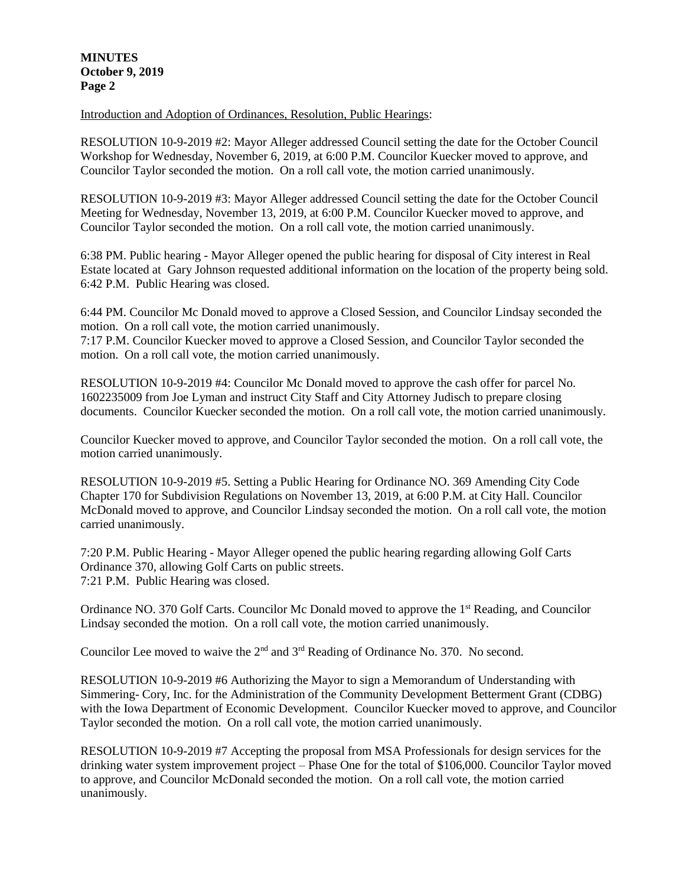## **MINUTES October 9, 2019 Page 2**

Introduction and Adoption of Ordinances, Resolution, Public Hearings:

RESOLUTION 10-9-2019 #2: Mayor Alleger addressed Council setting the date for the October Council Workshop for Wednesday, November 6, 2019, at 6:00 P.M. Councilor Kuecker moved to approve, and Councilor Taylor seconded the motion. On a roll call vote, the motion carried unanimously.

RESOLUTION 10-9-2019 #3: Mayor Alleger addressed Council setting the date for the October Council Meeting for Wednesday, November 13, 2019, at 6:00 P.M. Councilor Kuecker moved to approve, and Councilor Taylor seconded the motion. On a roll call vote, the motion carried unanimously.

6:38 PM. Public hearing - Mayor Alleger opened the public hearing for disposal of City interest in Real Estate located at Gary Johnson requested additional information on the location of the property being sold. 6:42 P.M. Public Hearing was closed.

6:44 PM. Councilor Mc Donald moved to approve a Closed Session, and Councilor Lindsay seconded the motion. On a roll call vote, the motion carried unanimously.

7:17 P.M. Councilor Kuecker moved to approve a Closed Session, and Councilor Taylor seconded the motion. On a roll call vote, the motion carried unanimously.

RESOLUTION 10-9-2019 #4: Councilor Mc Donald moved to approve the cash offer for parcel No. 1602235009 from Joe Lyman and instruct City Staff and City Attorney Judisch to prepare closing documents. Councilor Kuecker seconded the motion. On a roll call vote, the motion carried unanimously.

Councilor Kuecker moved to approve, and Councilor Taylor seconded the motion. On a roll call vote, the motion carried unanimously.

RESOLUTION 10-9-2019 #5. Setting a Public Hearing for Ordinance NO. 369 Amending City Code Chapter 170 for Subdivision Regulations on November 13, 2019, at 6:00 P.M. at City Hall. Councilor McDonald moved to approve, and Councilor Lindsay seconded the motion. On a roll call vote, the motion carried unanimously.

7:20 P.M. Public Hearing - Mayor Alleger opened the public hearing regarding allowing Golf Carts Ordinance 370, allowing Golf Carts on public streets. 7:21 P.M. Public Hearing was closed.

Ordinance NO. 370 Golf Carts. Councilor Mc Donald moved to approve the 1<sup>st</sup> Reading, and Councilor Lindsay seconded the motion. On a roll call vote, the motion carried unanimously.

Councilor Lee moved to waive the 2<sup>nd</sup> and 3<sup>rd</sup> Reading of Ordinance No. 370. No second.

RESOLUTION 10-9-2019 #6 Authorizing the Mayor to sign a Memorandum of Understanding with Simmering- Cory, Inc. for the Administration of the Community Development Betterment Grant (CDBG) with the Iowa Department of Economic Development. Councilor Kuecker moved to approve, and Councilor Taylor seconded the motion. On a roll call vote, the motion carried unanimously.

RESOLUTION 10-9-2019 #7 Accepting the proposal from MSA Professionals for design services for the drinking water system improvement project – Phase One for the total of \$106,000. Councilor Taylor moved to approve, and Councilor McDonald seconded the motion. On a roll call vote, the motion carried unanimously.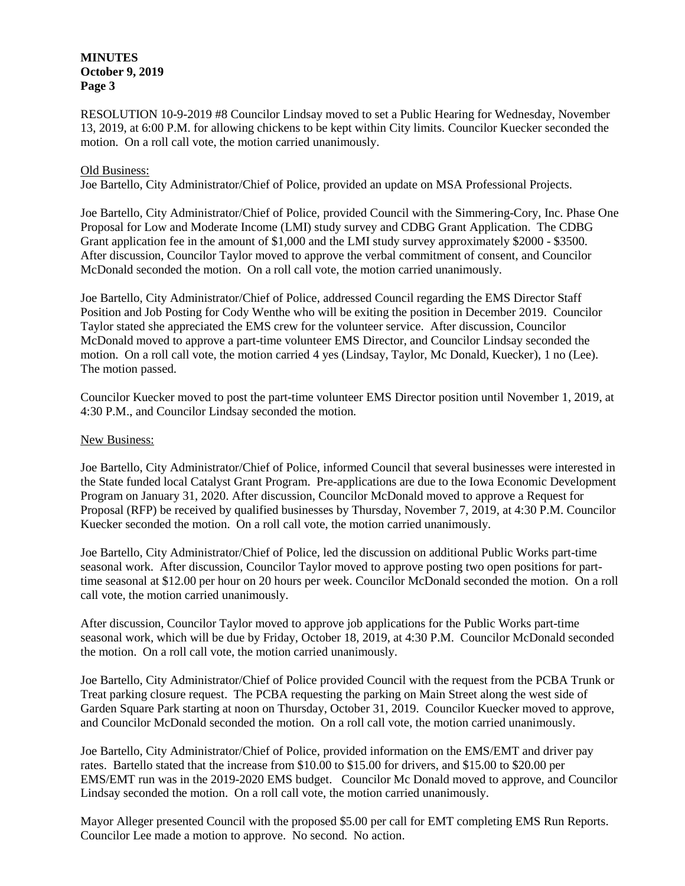## **MINUTES October 9, 2019 Page 3**

RESOLUTION 10-9-2019 #8 Councilor Lindsay moved to set a Public Hearing for Wednesday, November 13, 2019, at 6:00 P.M. for allowing chickens to be kept within City limits. Councilor Kuecker seconded the motion. On a roll call vote, the motion carried unanimously.

## Old Business:

Joe Bartello, City Administrator/Chief of Police, provided an update on MSA Professional Projects.

Joe Bartello, City Administrator/Chief of Police, provided Council with the Simmering-Cory, Inc. Phase One Proposal for Low and Moderate Income (LMI) study survey and CDBG Grant Application. The CDBG Grant application fee in the amount of \$1,000 and the LMI study survey approximately \$2000 - \$3500. After discussion, Councilor Taylor moved to approve the verbal commitment of consent, and Councilor McDonald seconded the motion. On a roll call vote, the motion carried unanimously.

Joe Bartello, City Administrator/Chief of Police, addressed Council regarding the EMS Director Staff Position and Job Posting for Cody Wenthe who will be exiting the position in December 2019. Councilor Taylor stated she appreciated the EMS crew for the volunteer service. After discussion, Councilor McDonald moved to approve a part-time volunteer EMS Director, and Councilor Lindsay seconded the motion. On a roll call vote, the motion carried 4 yes (Lindsay, Taylor, Mc Donald, Kuecker), 1 no (Lee). The motion passed.

Councilor Kuecker moved to post the part-time volunteer EMS Director position until November 1, 2019, at 4:30 P.M., and Councilor Lindsay seconded the motion.

#### New Business:

Joe Bartello, City Administrator/Chief of Police, informed Council that several businesses were interested in the State funded local Catalyst Grant Program. Pre-applications are due to the Iowa Economic Development Program on January 31, 2020. After discussion, Councilor McDonald moved to approve a Request for Proposal (RFP) be received by qualified businesses by Thursday, November 7, 2019, at 4:30 P.M. Councilor Kuecker seconded the motion. On a roll call vote, the motion carried unanimously.

Joe Bartello, City Administrator/Chief of Police, led the discussion on additional Public Works part-time seasonal work. After discussion, Councilor Taylor moved to approve posting two open positions for parttime seasonal at \$12.00 per hour on 20 hours per week. Councilor McDonald seconded the motion. On a roll call vote, the motion carried unanimously.

After discussion, Councilor Taylor moved to approve job applications for the Public Works part-time seasonal work, which will be due by Friday, October 18, 2019, at 4:30 P.M. Councilor McDonald seconded the motion. On a roll call vote, the motion carried unanimously.

Joe Bartello, City Administrator/Chief of Police provided Council with the request from the PCBA Trunk or Treat parking closure request. The PCBA requesting the parking on Main Street along the west side of Garden Square Park starting at noon on Thursday, October 31, 2019. Councilor Kuecker moved to approve, and Councilor McDonald seconded the motion. On a roll call vote, the motion carried unanimously.

Joe Bartello, City Administrator/Chief of Police, provided information on the EMS/EMT and driver pay rates. Bartello stated that the increase from \$10.00 to \$15.00 for drivers, and \$15.00 to \$20.00 per EMS/EMT run was in the 2019-2020 EMS budget. Councilor Mc Donald moved to approve, and Councilor Lindsay seconded the motion. On a roll call vote, the motion carried unanimously.

Mayor Alleger presented Council with the proposed \$5.00 per call for EMT completing EMS Run Reports. Councilor Lee made a motion to approve. No second. No action.